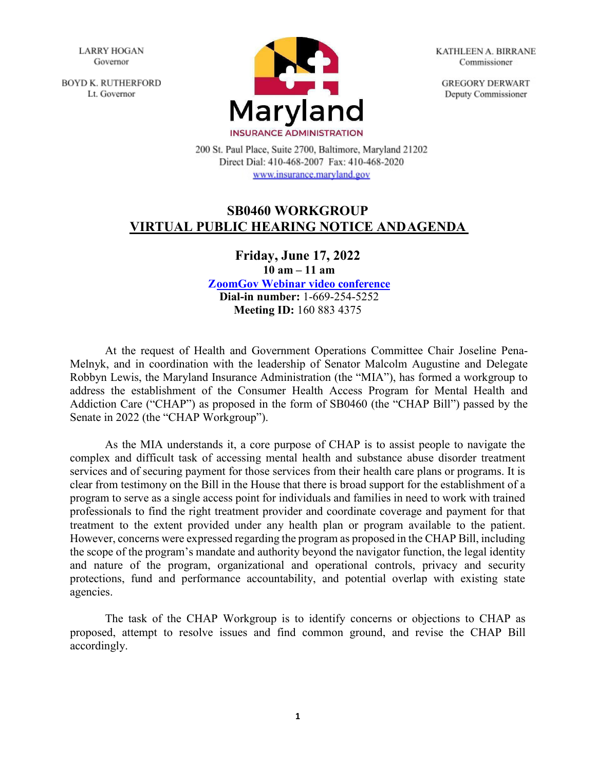**LARRY HOGAN** Governor

**BOYD K. RUTHERFORD** Lt. Governor



**KATHLEEN A. BIRRANE** Commissioner

**GREGORY DERWART** Deputy Commissioner

200 St. Paul Place, Suite 2700, Baltimore, Maryland 21202 Direct Dial: 410-468-2007 Fax: 410-468-2020 www.insurance.maryland.gov

## **SB0460 WORKGROUP VIRTUAL PUBLIC HEARING NOTICE ANDAGENDA**

**Friday, June 17, 2022 10 am – 11 am [ZoomGov Webinar video conference](https://www.zoomgov.com/j/1608834375?pwd=OHJYUWpZRUZSaHNESi9BZ0hqQWNaUT09) Dial-in number:** 1-669-254-5252 **Meeting ID:** 160 883 4375

At the request of Health and Government Operations Committee Chair Joseline Pena-Melnyk, and in coordination with the leadership of Senator Malcolm Augustine and Delegate Robbyn Lewis, the Maryland Insurance Administration (the "MIA"), has formed a workgroup to address the establishment of the Consumer Health Access Program for Mental Health and Addiction Care ("CHAP") as proposed in the form of SB0460 (the "CHAP Bill") passed by the Senate in 2022 (the "CHAP Workgroup").

As the MIA understands it, a core purpose of CHAP is to assist people to navigate the complex and difficult task of accessing mental health and substance abuse disorder treatment services and of securing payment for those services from their health care plans or programs. It is clear from testimony on the Bill in the House that there is broad support for the establishment of a program to serve as a single access point for individuals and families in need to work with trained professionals to find the right treatment provider and coordinate coverage and payment for that treatment to the extent provided under any health plan or program available to the patient. However, concerns were expressed regarding the program as proposed in the CHAP Bill, including the scope of the program's mandate and authority beyond the navigator function, the legal identity and nature of the program, organizational and operational controls, privacy and security protections, fund and performance accountability, and potential overlap with existing state agencies.

The task of the CHAP Workgroup is to identify concerns or objections to CHAP as proposed, attempt to resolve issues and find common ground, and revise the CHAP Bill accordingly.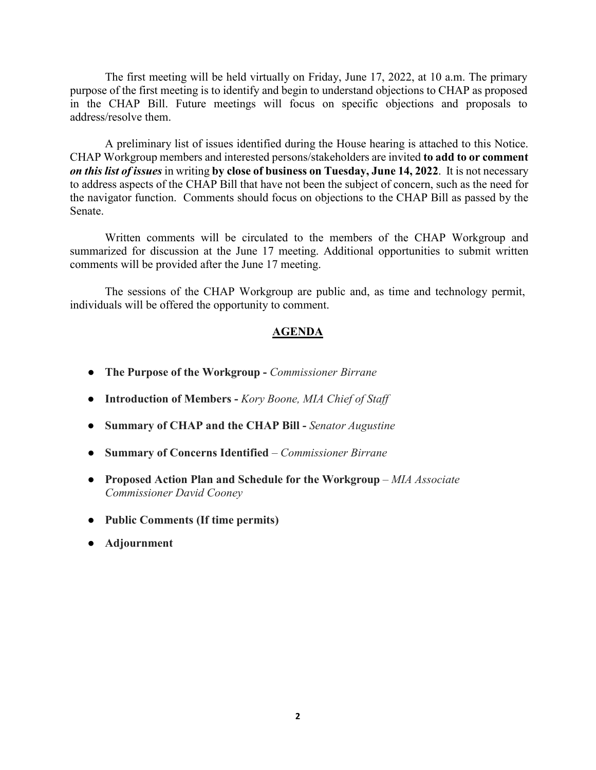The first meeting will be held virtually on Friday, June 17, 2022, at 10 a.m. The primary purpose of the first meeting is to identify and begin to understand objections to CHAP as proposed in the CHAP Bill. Future meetings will focus on specific objections and proposals to address/resolve them.

A preliminary list of issues identified during the House hearing is attached to this Notice. CHAP Workgroup members and interested persons/stakeholders are invited **to add to or comment** *on this list of issues* in writing **by close of business on Tuesday, June 14, 2022**. It is not necessary to address aspects of the CHAP Bill that have not been the subject of concern, such as the need for the navigator function. Comments should focus on objections to the CHAP Bill as passed by the Senate.

Written comments will be circulated to the members of the CHAP Workgroup and summarized for discussion at the June 17 meeting. Additional opportunities to submit written comments will be provided after the June 17 meeting.

The sessions of the CHAP Workgroup are public and, as time and technology permit, individuals will be offered the opportunity to comment.

## **AGENDA**

- **The Purpose of the Workgroup -** *Commissioner Birrane*
- **Introduction of Members -** *Kory Boone, MIA Chief of Staff*
- **Summary of CHAP and the CHAP Bill -** *Senator Augustine*
- **Summary of Concerns Identified**  *Commissioner Birrane*
- **• Proposed Action Plan and Schedule for the Workgroup** MIA Associate *Commissioner David Cooney*
- **Public Comments (If time permits)**
- **Adjournment**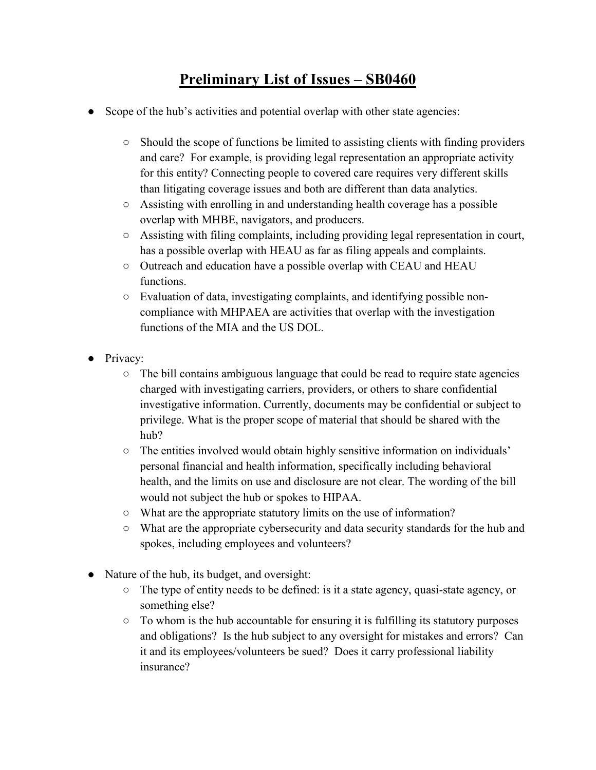## **Preliminary List of Issues – SB0460**

- Scope of the hub's activities and potential overlap with other state agencies:
	- Should the scope of functions be limited to assisting clients with finding providers and care? For example, is providing legal representation an appropriate activity for this entity? Connecting people to covered care requires very different skills than litigating coverage issues and both are different than data analytics.
	- Assisting with enrolling in and understanding health coverage has a possible overlap with MHBE, navigators, and producers.
	- Assisting with filing complaints, including providing legal representation in court, has a possible overlap with HEAU as far as filing appeals and complaints.
	- Outreach and education have a possible overlap with CEAU and HEAU functions.
	- Evaluation of data, investigating complaints, and identifying possible noncompliance with MHPAEA are activities that overlap with the investigation functions of the MIA and the US DOL.
- Privacy:
	- The bill contains ambiguous language that could be read to require state agencies charged with investigating carriers, providers, or others to share confidential investigative information. Currently, documents may be confidential or subject to privilege. What is the proper scope of material that should be shared with the hub?
	- The entities involved would obtain highly sensitive information on individuals' personal financial and health information, specifically including behavioral health, and the limits on use and disclosure are not clear. The wording of the bill would not subject the hub or spokes to HIPAA.
	- What are the appropriate statutory limits on the use of information?
	- What are the appropriate cybersecurity and data security standards for the hub and spokes, including employees and volunteers?
- Nature of the hub, its budget, and oversight:
	- The type of entity needs to be defined: is it a state agency, quasi-state agency, or something else?
	- To whom is the hub accountable for ensuring it is fulfilling its statutory purposes and obligations? Is the hub subject to any oversight for mistakes and errors? Can it and its employees/volunteers be sued? Does it carry professional liability insurance?